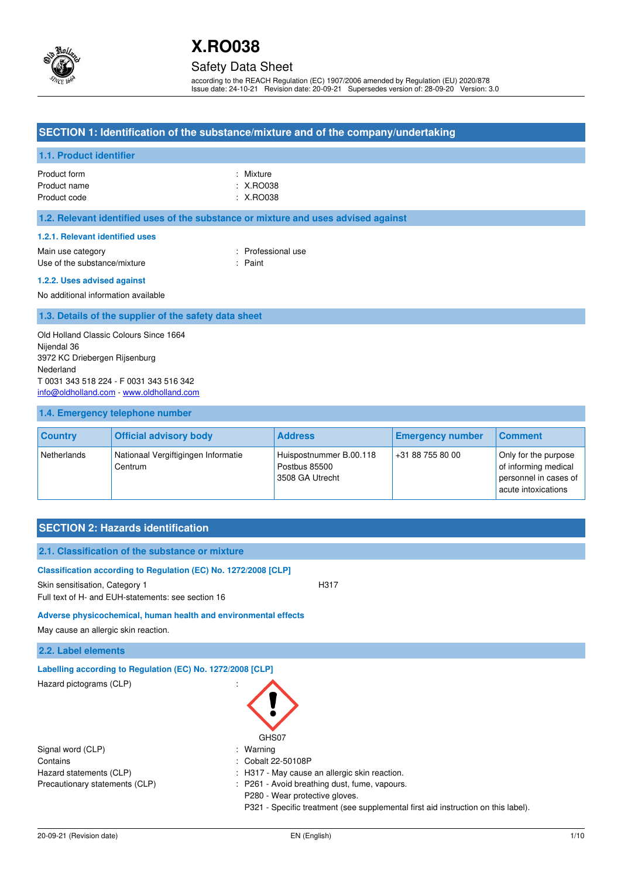

## Safety Data Sheet

according to the REACH Regulation (EC) 1907/2006 amended by Regulation (EU) 2020/878 Issue date: 24-10-21 Revision date: 20-09-21 Supersedes version of: 28-09-20 Version: 3.0

## **SECTION 1: Identification of the substance/mixture and of the company/undertaking**

## **1.1. Product identifier**

| Product form | : Mixture |
|--------------|-----------|
| Product name | : X.RO038 |
| Product code | : X.RO038 |

### **1.2. Relevant identified uses of the substance or mixture and uses advised against**

#### **1.2.1. Relevant identified uses**

Main use category **Example 20** and the Main use category **in the Contract Contract 20 and 10** and 10 and 10 and 10 and 10 and 10 and 10 and 10 and 10 and 10 and 10 and 10 and 10 and 10 and 10 and 10 and 10 and 10 and 10 an Use of the substance/mixture : Paint

#### **1.2.2. Uses advised against**

No additional information available

### **1.3. Details of the supplier of the safety data sheet**

Old Holland Classic Colours Since 1664 Nijendal 36 3972 KC Driebergen Rijsenburg Nederland T 0031 343 518 224 - F 0031 343 516 342 [info@oldholland.com](mailto:info@oldholland.com) - [www.oldholland.com](http://www.oldholland.com/)

### **1.4. Emergency telephone number**

| <b>Country</b> | <b>Official advisory body</b>                  | <b>Address</b>                                              | <b>Emergency number</b> | <b>Comment</b>                                                                               |
|----------------|------------------------------------------------|-------------------------------------------------------------|-------------------------|----------------------------------------------------------------------------------------------|
| Netherlands    | Nationaal Vergiftigingen Informatie<br>Centrum | Huispostnummer B.00.118<br>Postbus 85500<br>3508 GA Utrecht | +31 88 755 80 00        | Only for the purpose<br>of informing medical<br>personnel in cases of<br>acute intoxications |

# **SECTION 2: Hazards identification**

| 2.1. Classification of the substance or mixture                 |                                                                                   |
|-----------------------------------------------------------------|-----------------------------------------------------------------------------------|
| Classification according to Regulation (EC) No. 1272/2008 [CLP] |                                                                                   |
| Skin sensitisation, Category 1                                  | H317                                                                              |
| Full text of H- and EUH-statements: see section 16              |                                                                                   |
| Adverse physicochemical, human health and environmental effects |                                                                                   |
| May cause an allergic skin reaction.                            |                                                                                   |
| 2.2. Label elements                                             |                                                                                   |
| Labelling according to Regulation (EC) No. 1272/2008 [CLP]      |                                                                                   |
| Hazard pictograms (CLP)                                         | GHS07                                                                             |
| Signal word (CLP)                                               | Warning                                                                           |
| Contains                                                        | Cobalt 22-50108P                                                                  |
| Hazard statements (CLP)                                         | H317 - May cause an allergic skin reaction.                                       |
| Precautionary statements (CLP)                                  | P261 - Avoid breathing dust, fume, vapours.<br>÷                                  |
|                                                                 | P280 - Wear protective gloves.                                                    |
|                                                                 | P321 - Specific treatment (see supplemental first aid instruction on this label). |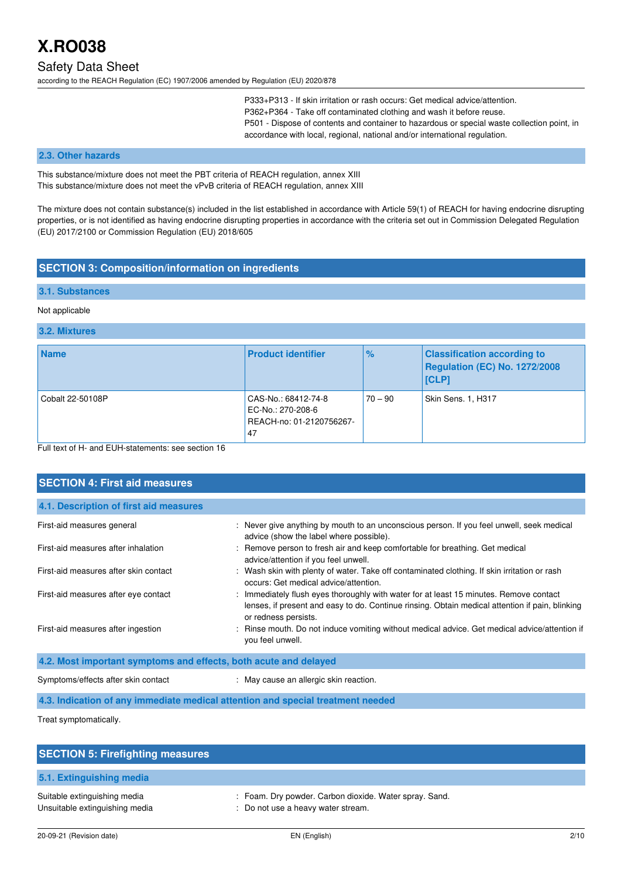# Safety Data Sheet

according to the REACH Regulation (EC) 1907/2006 amended by Regulation (EU) 2020/878

P333+P313 - If skin irritation or rash occurs: Get medical advice/attention. P362+P364 - Take off contaminated clothing and wash it before reuse. P501 - Dispose of contents and container to hazardous or special waste collection point, in accordance with local, regional, national and/or international regulation.

#### **2.3. Other hazards**

This substance/mixture does not meet the PBT criteria of REACH regulation, annex XIII This substance/mixture does not meet the vPvB criteria of REACH regulation, annex XIII

The mixture does not contain substance(s) included in the list established in accordance with Article 59(1) of REACH for having endocrine disrupting properties, or is not identified as having endocrine disrupting properties in accordance with the criteria set out in Commission Delegated Regulation (EU) 2017/2100 or Commission Regulation (EU) 2018/605

## **SECTION 3: Composition/information on ingredients**

#### **3.1. Substances**

#### Not applicable

#### **3.2. Mixtures**

| <b>Name</b>      | <b>Product identifier</b>                                                  | $\%$      | <b>Classification according to</b><br>Regulation (EC) No. 1272/2008<br> [CLP] |
|------------------|----------------------------------------------------------------------------|-----------|-------------------------------------------------------------------------------|
| Cobalt 22-50108P | CAS-No.: 68412-74-8<br>EC-No.: 270-208-6<br>REACH-no: 01-2120756267-<br>47 | $70 - 90$ | Skin Sens. 1, H317                                                            |

Full text of H- and EUH-statements: see section 16

| <b>SECTION 4: First aid measures</b>                             |                                                                                                                                                                                                                   |
|------------------------------------------------------------------|-------------------------------------------------------------------------------------------------------------------------------------------------------------------------------------------------------------------|
| 4.1. Description of first aid measures                           |                                                                                                                                                                                                                   |
| First-aid measures general                                       | : Never give anything by mouth to an unconscious person. If you feel unwell, seek medical<br>advice (show the label where possible).                                                                              |
| First-aid measures after inhalation                              | : Remove person to fresh air and keep comfortable for breathing. Get medical<br>advice/attention if you feel unwell.                                                                                              |
| First-aid measures after skin contact                            | : Wash skin with plenty of water. Take off contaminated clothing. If skin irritation or rash<br>occurs: Get medical advice/attention.                                                                             |
| First-aid measures after eye contact                             | : Immediately flush eyes thoroughly with water for at least 15 minutes. Remove contact<br>lenses, if present and easy to do. Continue rinsing. Obtain medical attention if pain, blinking<br>or redness persists. |
| First-aid measures after ingestion                               | : Rinse mouth. Do not induce vomiting without medical advice. Get medical advice/attention if<br>you feel unwell.                                                                                                 |
| 4.2. Most important symptoms and effects, both acute and delayed |                                                                                                                                                                                                                   |
| Symptoms/effects after skin contact                              | : May cause an allergic skin reaction.                                                                                                                                                                            |
|                                                                  | 4.3. Indication of any immediate medical attention and special treatment needed                                                                                                                                   |

Treat symptomatically.

| <b>SECTION 5: Firefighting measures</b>                        |                                                                                              |
|----------------------------------------------------------------|----------------------------------------------------------------------------------------------|
| 5.1. Extinguishing media                                       |                                                                                              |
| Suitable extinguishing media<br>Unsuitable extinguishing media | : Foam. Dry powder. Carbon dioxide. Water spray. Sand.<br>: Do not use a heavy water stream. |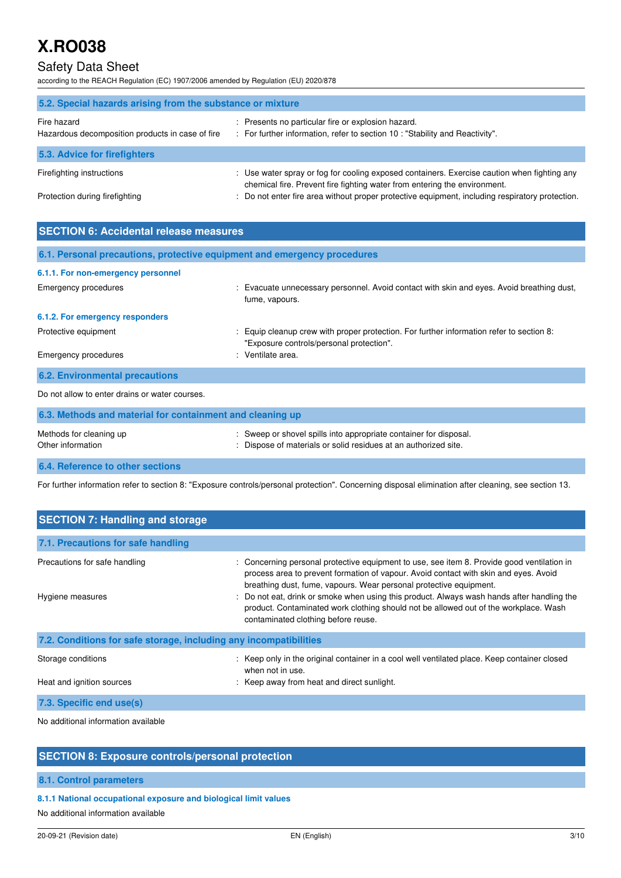# Safety Data Sheet

according to the REACH Regulation (EC) 1907/2006 amended by Regulation (EU) 2020/878

| 5.2. Special hazards arising from the substance or mixture      |                                                                                                                                                                          |  |  |
|-----------------------------------------------------------------|--------------------------------------------------------------------------------------------------------------------------------------------------------------------------|--|--|
| Fire hazard<br>Hazardous decomposition products in case of fire | : Presents no particular fire or explosion hazard.<br>: For further information, refer to section 10 : "Stability and Reactivity".                                       |  |  |
| 5.3. Advice for firefighters                                    |                                                                                                                                                                          |  |  |
| Firefighting instructions                                       | : Use water spray or fog for cooling exposed containers. Exercise caution when fighting any<br>chemical fire. Prevent fire fighting water from entering the environment. |  |  |
| Protection during firefighting                                  | : Do not enter fire area without proper protective equipment, including respiratory protection.                                                                          |  |  |

| <b>SECTION 6: Accidental release measures</b>                            |                                                                                                                                      |  |  |
|--------------------------------------------------------------------------|--------------------------------------------------------------------------------------------------------------------------------------|--|--|
| 6.1. Personal precautions, protective equipment and emergency procedures |                                                                                                                                      |  |  |
| 6.1.1. For non-emergency personnel                                       |                                                                                                                                      |  |  |
| Emergency procedures                                                     | : Evacuate unnecessary personnel. Avoid contact with skin and eyes. Avoid breathing dust,<br>fume, vapours.                          |  |  |
| 6.1.2. For emergency responders                                          |                                                                                                                                      |  |  |
| Protective equipment                                                     | : Equip cleanup crew with proper protection. For further information refer to section 8:<br>"Exposure controls/personal protection". |  |  |
| Emergency procedures                                                     | : Ventilate area.                                                                                                                    |  |  |
| <b>6.2. Environmental precautions</b>                                    |                                                                                                                                      |  |  |
| Do not allow to enter drains or water courses.                           |                                                                                                                                      |  |  |
| 6.3. Methods and material for containment and cleaning up                |                                                                                                                                      |  |  |
| Methods for cleaning up<br>Other information                             | : Sweep or shovel spills into appropriate container for disposal.<br>: Dispose of materials or solid residues at an authorized site. |  |  |

**6.4. Reference to other sections** 

For further information refer to section 8: "Exposure controls/personal protection". Concerning disposal elimination after cleaning, see section 13.

| <b>SECTION 7: Handling and storage</b>                            |                                                                                                                                                                                                                                                                                                                                                                                                                                                                                       |  |  |
|-------------------------------------------------------------------|---------------------------------------------------------------------------------------------------------------------------------------------------------------------------------------------------------------------------------------------------------------------------------------------------------------------------------------------------------------------------------------------------------------------------------------------------------------------------------------|--|--|
| 7.1. Precautions for safe handling                                |                                                                                                                                                                                                                                                                                                                                                                                                                                                                                       |  |  |
| Precautions for safe handling<br>Hygiene measures                 | : Concerning personal protective equipment to use, see item 8. Provide good ventilation in<br>process area to prevent formation of vapour. Avoid contact with skin and eyes. Avoid<br>breathing dust, fume, vapours. Wear personal protective equipment.<br>: Do not eat, drink or smoke when using this product. Always wash hands after handling the<br>product. Contaminated work clothing should not be allowed out of the workplace. Wash<br>contaminated clothing before reuse. |  |  |
| 7.2. Conditions for safe storage, including any incompatibilities |                                                                                                                                                                                                                                                                                                                                                                                                                                                                                       |  |  |
| Storage conditions                                                | : Keep only in the original container in a cool well ventilated place. Keep container closed<br>when not in use.                                                                                                                                                                                                                                                                                                                                                                      |  |  |
| Heat and ignition sources                                         | : Keep away from heat and direct sunlight.                                                                                                                                                                                                                                                                                                                                                                                                                                            |  |  |
| 7.3. Specific end use(s)                                          |                                                                                                                                                                                                                                                                                                                                                                                                                                                                                       |  |  |
|                                                                   |                                                                                                                                                                                                                                                                                                                                                                                                                                                                                       |  |  |

No additional information available

## **SECTION 8: Exposure controls/personal protection**

### **8.1. Control parameters**

**8.1.1 National occupational exposure and biological limit values** 

No additional information available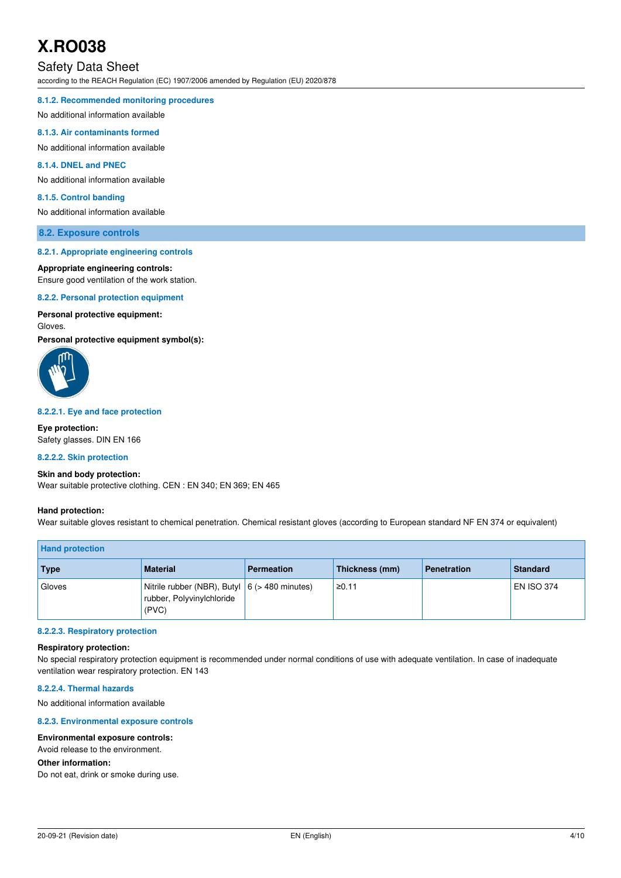# Safety Data Sheet

according to the REACH Regulation (EC) 1907/2006 amended by Regulation (EU) 2020/878

#### **8.1.2. Recommended monitoring procedures**

No additional information available

#### **8.1.3. Air contaminants formed**

No additional information available

### **8.1.4. DNEL and PNEC**

No additional information available

#### **8.1.5. Control banding**

No additional information available

#### **8.2. Exposure controls**

#### **8.2.1. Appropriate engineering controls**

#### **Appropriate engineering controls:**

Ensure good ventilation of the work station.

#### **8.2.2. Personal protection equipment**

### **Personal protective equipment:**

#### Gloves.

**Personal protective equipment symbol(s):** 



#### **8.2.2.1. Eye and face protection**

**Eye protection:**  Safety glasses. DIN EN 166

#### **8.2.2.2. Skin protection**

#### **Skin and body protection:**

Wear suitable protective clothing. CEN : EN 340; EN 369; EN 465

#### **Hand protection:**

Wear suitable gloves resistant to chemical penetration. Chemical resistant gloves (according to European standard NF EN 374 or equivalent)

| <b>Hand protection</b> |                                                                                        |                   |                |                    |                   |
|------------------------|----------------------------------------------------------------------------------------|-------------------|----------------|--------------------|-------------------|
| <b>Type</b>            | <b>Material</b>                                                                        | <b>Permeation</b> | Thickness (mm) | <b>Penetration</b> | Standard          |
| Gloves                 | Nitrile rubber (NBR), Butyl $ 6$ (> 480 minutes)<br>rubber, Polyvinylchloride<br>(PVC) |                   | ≥0.11          |                    | <b>EN ISO 374</b> |

#### **8.2.2.3. Respiratory protection**

#### **Respiratory protection:**

No special respiratory protection equipment is recommended under normal conditions of use with adequate ventilation. In case of inadequate ventilation wear respiratory protection. EN 143

#### **8.2.2.4. Thermal hazards**

No additional information available

#### **8.2.3. Environmental exposure controls**

#### **Environmental exposure controls:**

Avoid release to the environment.

#### **Other information:**

Do not eat, drink or smoke during use.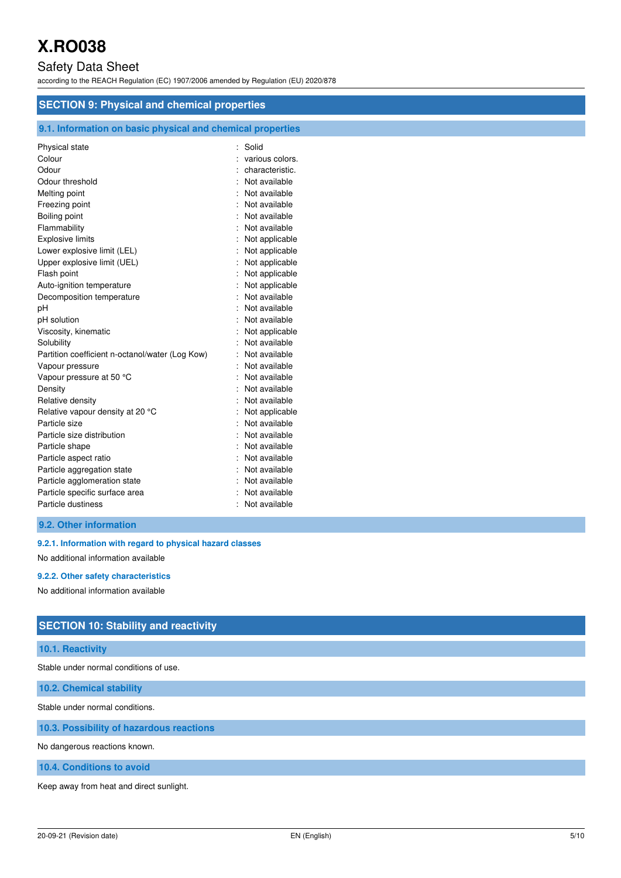# Safety Data Sheet

according to the REACH Regulation (EC) 1907/2006 amended by Regulation (EU) 2020/878

| <b>SECTION 9: Physical and chemical properties</b>         |                 |  |
|------------------------------------------------------------|-----------------|--|
| 9.1. Information on basic physical and chemical properties |                 |  |
| Physical state                                             | Solid<br>÷.     |  |
| Colour                                                     | various colors. |  |
| Odour                                                      | characteristic. |  |
| Odour threshold                                            | Not available   |  |
| Melting point                                              | Not available   |  |
| Freezing point                                             | Not available   |  |
| Boiling point                                              | Not available   |  |
| Flammability                                               | Not available   |  |
| <b>Explosive limits</b>                                    | Not applicable  |  |
| Lower explosive limit (LEL)                                | Not applicable  |  |
| Upper explosive limit (UEL)                                | Not applicable  |  |
| Flash point                                                | Not applicable  |  |
| Auto-ignition temperature                                  | Not applicable  |  |
| Decomposition temperature                                  | Not available   |  |
| рH                                                         | Not available   |  |
| pH solution                                                | Not available   |  |
| Viscosity, kinematic                                       | Not applicable  |  |
| Solubility                                                 | Not available   |  |
| Partition coefficient n-octanol/water (Log Kow)            | Not available   |  |
| Vapour pressure                                            | Not available   |  |
| Vapour pressure at 50 °C                                   | Not available   |  |
| Density                                                    | Not available   |  |
| Relative density                                           | Not available   |  |
| Relative vapour density at 20 °C                           | Not applicable  |  |
| Particle size                                              | Not available   |  |
| Particle size distribution                                 | Not available   |  |
| Particle shape                                             | Not available   |  |
| Particle aspect ratio                                      | Not available   |  |
| Particle aggregation state                                 | Not available   |  |
| Particle agglomeration state                               | Not available   |  |
| Particle specific surface area                             | Not available   |  |
| Particle dustiness                                         | Not available   |  |
|                                                            |                 |  |

## **9.2. Other information**

**9.2.1. Information with regard to physical hazard classes** 

No additional information available

#### **9.2.2. Other safety characteristics**

No additional information available

## **SECTION 10: Stability and reactivity**

## **10.1. Reactivity**

Stable under normal conditions of use.

**10.2. Chemical stability** 

Stable under normal conditions.

**10.3. Possibility of hazardous reactions** 

No dangerous reactions known.

### **10.4. Conditions to avoid**

Keep away from heat and direct sunlight.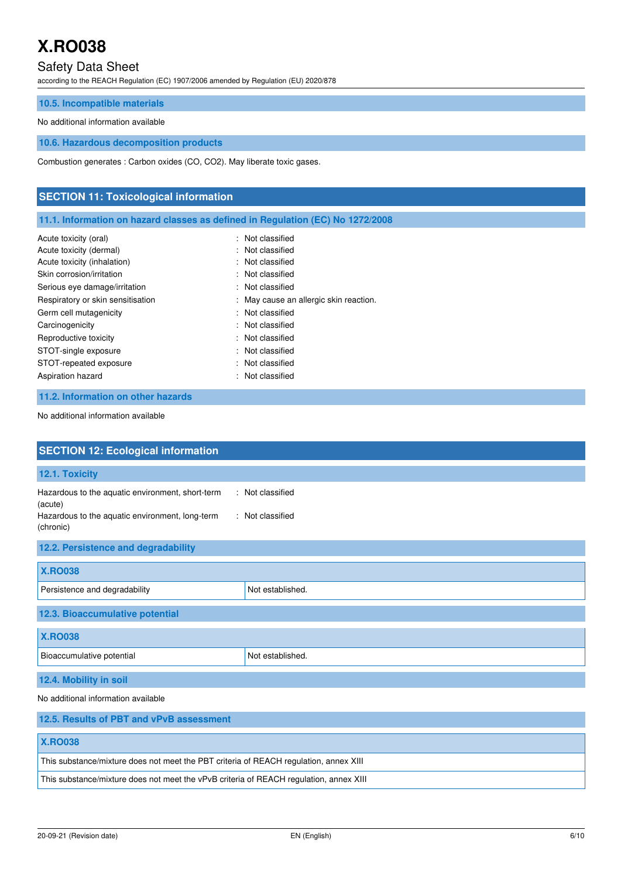# Safety Data Sheet

according to the REACH Regulation (EC) 1907/2006 amended by Regulation (EU) 2020/878

### **10.5. Incompatible materials**

#### No additional information available

**10.6. Hazardous decomposition products** 

Combustion generates : Carbon oxides (CO, CO2). May liberate toxic gases.

# **SECTION 11: Toxicological information 11.1. Information on hazard classes as defined in Regulation (EC) No 1272/2008**  Acute toxicity (oral) **Example 2** Contract 2 Contract 2 Contract 2 Contract 2 Contract 2 Contract 2 Contract 2 Contract 2 Contract 2 Contract 2 Contract 2 Contract 2 Contract 2 Contract 2 Contract 2 Contract 2 Contract 2 C Acute toxicity (dermal) **Example 20** Acute toxicity (dermal) Acute toxicity (inhalation) **Example 2** Control 2 Control 2 Control 2 Control 2 Control 2 Control 2 Control 2 Control 2 Control 2 Control 2 Control 2 Control 2 Control 2 Control 2 Control 2 Control 2 Control 2 Control 2 Co Skin corrosion/irritation : Not classified Serious eye damage/irritation : Not classified Respiratory or skin sensitisation : May cause an allergic skin reaction. Germ cell mutagenicity **Second Contract Contract Contract Contract Contract Contract Contract Contract Contract Contract Contract Contract Contract Contract Contract Contract Contract Contract Contract Contract Contract Co** Carcinogenicity **Carcinogenicity** : Not classified Reproductive toxicity **in the contract of the CRS** in Not classified STOT-single exposure in the state of the state of the STOT-single exposure STOT-repeated exposure in the state of the state of the STOT-repeated exposure Aspiration hazard **in the case of the case of the case of the case of the case of the case of the case of the case of the case of the case of the case of the case of the case of the case of the case of the case of the case 11.2. Information on other hazards**

No additional information available

| <b>SECTION 12: Ecological information</b>                                                                                   |                                      |  |
|-----------------------------------------------------------------------------------------------------------------------------|--------------------------------------|--|
| 12.1. Toxicity                                                                                                              |                                      |  |
| Hazardous to the aquatic environment, short-term<br>(acute)<br>Hazardous to the aquatic environment, long-term<br>(chronic) | : Not classified<br>: Not classified |  |
| 12.2. Persistence and degradability                                                                                         |                                      |  |
| <b>X.RO038</b>                                                                                                              |                                      |  |
| Persistence and degradability                                                                                               | Not established.                     |  |
| 12.3. Bioaccumulative potential                                                                                             |                                      |  |
| <b>X.RO038</b>                                                                                                              |                                      |  |
| Bioaccumulative potential                                                                                                   | Not established.                     |  |
| 12.4. Mobility in soil                                                                                                      |                                      |  |
| No additional information available                                                                                         |                                      |  |
| 12.5. Results of PBT and vPvB assessment                                                                                    |                                      |  |
| <b>X.RO038</b>                                                                                                              |                                      |  |
| This substance/mixture does not meet the PBT criteria of REACH regulation, annex XIII                                       |                                      |  |

This substance/mixture does not meet the vPvB criteria of REACH regulation, annex XIII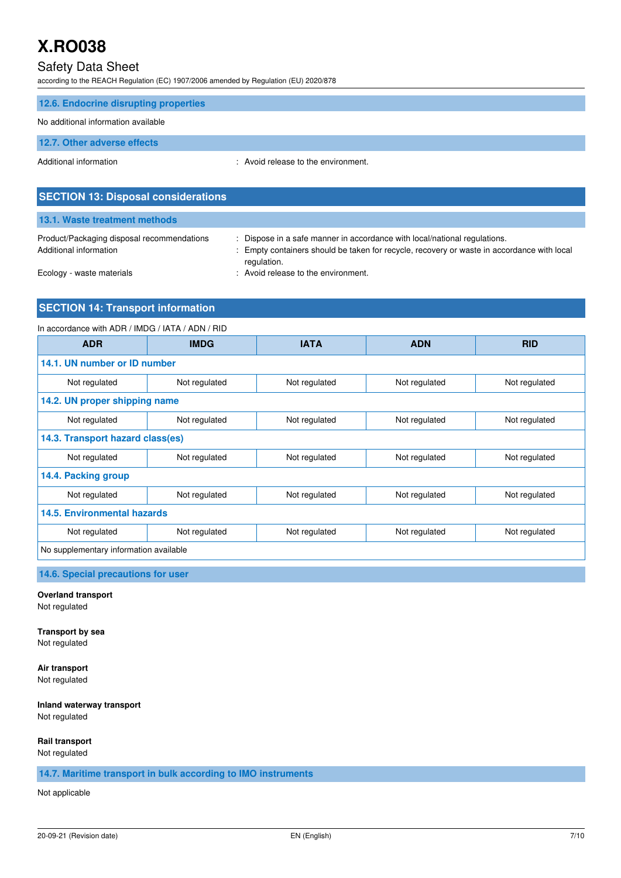## Safety Data Sheet

according to the REACH Regulation (EC) 1907/2006 amended by Regulation (EU) 2020/878

| 12.6. Endocrine disrupting properties |                                     |
|---------------------------------------|-------------------------------------|
| No additional information available   |                                     |
| 12.7. Other adverse effects           |                                     |
| Additional information                | : Avoid release to the environment. |
|                                       |                                     |

| 13.1. Waste treatment methods                                        |                                                                                                                                                                                        |
|----------------------------------------------------------------------|----------------------------------------------------------------------------------------------------------------------------------------------------------------------------------------|
| Product/Packaging disposal recommendations<br>Additional information | : Dispose in a safe manner in accordance with local/national regulations.<br>: Empty containers should be taken for recycle, recovery or waste in accordance with local<br>regulation. |
| Ecology - waste materials                                            | : Avoid release to the environment.                                                                                                                                                    |

## **SECTION 14: Transport information**

**SECTION 13: Disposal considerations** 

# In accordance with ADR / IMDG / IATA / ADN / RID **ADR IMDG IATA ADN RID 14.1. UN number or ID number**  Not regulated Not regulated Not regulated Not regulated Not regulated Not regulated Not regulated **14.2. UN proper shipping name**  Not regulated Not regulated Not regulated Not regulated Not regulated Not regulated Not regulated **14.3. Transport hazard class(es)**  Not regulated Not regulated Not regulated Not regulated Not regulated **14.4. Packing group**  Not regulated  $\vert$  Not regulated  $\vert$  Not regulated  $\vert$  Not regulated  $\vert$  Not regulated **14.5. Environmental hazards**  Not regulated  $\vert$  Not regulated  $\vert$  Not regulated  $\vert$  Not regulated  $\vert$  Not regulated No supplementary information available

**14.6. Special precautions for user** 

### **Overland transport**

Not regulated

**Transport by sea**  Not regulated

**Air transport**  Not regulated

### **Inland waterway transport**

Not regulated

#### **Rail transport**

Not regulated

**14.7. Maritime transport in bulk according to IMO instruments** 

Not applicable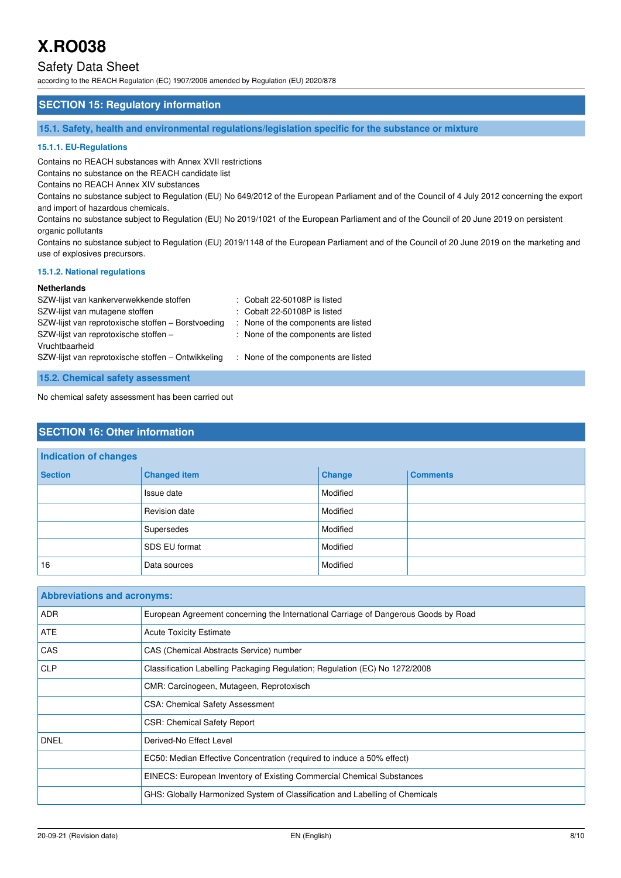# Safety Data Sheet

according to the REACH Regulation (EC) 1907/2006 amended by Regulation (EU) 2020/878

## **SECTION 15: Regulatory information**

**15.1. Safety, health and environmental regulations/legislation specific for the substance or mixture** 

#### **15.1.1. EU-Regulations**

Contains no REACH substances with Annex XVII restrictions

Contains no substance on the REACH candidate list

Contains no REACH Annex XIV substances

Contains no substance subject to Regulation (EU) No 649/2012 of the European Parliament and of the Council of 4 July 2012 concerning the export and import of hazardous chemicals.

Contains no substance subject to Regulation (EU) No 2019/1021 of the European Parliament and of the Council of 20 June 2019 on persistent organic pollutants

Contains no substance subject to Regulation (EU) 2019/1148 of the European Parliament and of the Council of 20 June 2019 on the marketing and use of explosives precursors.

#### **15.1.2. National regulations**

#### **Netherlands**

| SZW-lijst van kankerverwekkende stoffen            | : Cobalt 22-50108P is listed        |
|----------------------------------------------------|-------------------------------------|
| SZW-lijst van mutagene stoffen                     | : Cobalt 22-50108P is listed        |
| SZW-lijst van reprotoxische stoffen - Borstvoeding | : None of the components are listed |
| SZW-lijst van reprotoxische stoffen -              | : None of the components are listed |
| Vruchtbaarheid                                     |                                     |
| SZW-lijst van reprotoxische stoffen - Ontwikkeling | : None of the components are listed |
|                                                    |                                     |
| 15.2. Chemical safety assessment                   |                                     |

No chemical safety assessment has been carried out

## **SECTION 16: Other information**

| Indication of changes |                     |               |                 |
|-----------------------|---------------------|---------------|-----------------|
| <b>Section</b>        | <b>Changed item</b> | <b>Change</b> | <b>Comments</b> |
|                       | Issue date          | Modified      |                 |
|                       | Revision date       | Modified      |                 |
|                       | Supersedes          | Modified      |                 |
|                       | SDS EU format       | Modified      |                 |
| 16                    | Data sources        | Modified      |                 |

| <b>Abbreviations and acronyms:</b> |                                                                                     |
|------------------------------------|-------------------------------------------------------------------------------------|
| <b>ADR</b>                         | European Agreement concerning the International Carriage of Dangerous Goods by Road |
| ATE                                | <b>Acute Toxicity Estimate</b>                                                      |
| CAS                                | CAS (Chemical Abstracts Service) number                                             |
| <b>CLP</b>                         | Classification Labelling Packaging Regulation; Regulation (EC) No 1272/2008         |
|                                    | CMR: Carcinogeen, Mutageen, Reprotoxisch                                            |
|                                    | <b>CSA: Chemical Safety Assessment</b>                                              |
|                                    | <b>CSR: Chemical Safety Report</b>                                                  |
| <b>DNEL</b>                        | Derived-No Effect Level                                                             |
|                                    | EC50: Median Effective Concentration (required to induce a 50% effect)              |
|                                    | EINECS: European Inventory of Existing Commercial Chemical Substances               |
|                                    | GHS: Globally Harmonized System of Classification and Labelling of Chemicals        |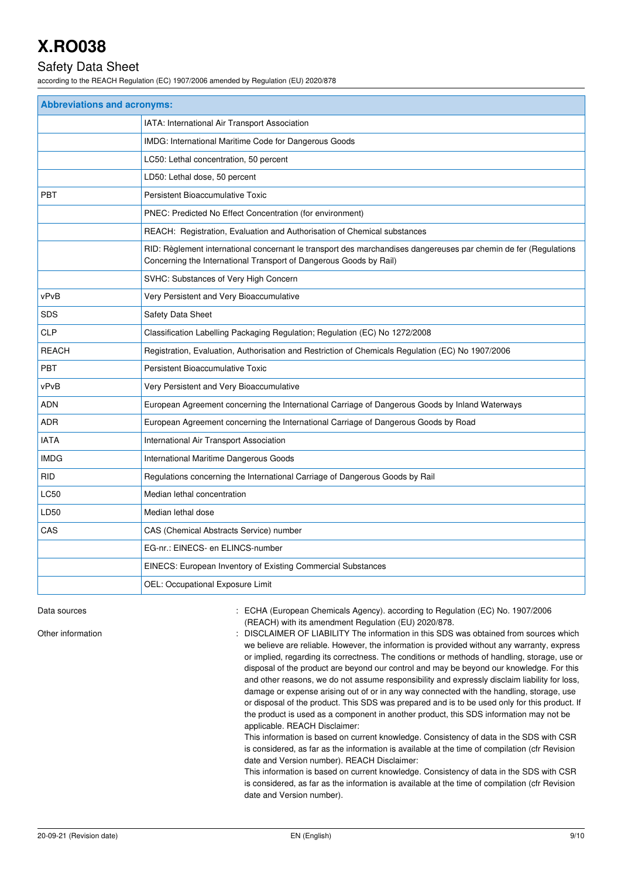# Safety Data Sheet

according to the REACH Regulation (EC) 1907/2006 amended by Regulation (EU) 2020/878

| <b>Abbreviations and acronyms:</b> |                                                                                                                                                                                        |
|------------------------------------|----------------------------------------------------------------------------------------------------------------------------------------------------------------------------------------|
|                                    | IATA: International Air Transport Association                                                                                                                                          |
|                                    | IMDG: International Maritime Code for Dangerous Goods                                                                                                                                  |
|                                    | LC50: Lethal concentration, 50 percent                                                                                                                                                 |
|                                    | LD50: Lethal dose, 50 percent                                                                                                                                                          |
| <b>PBT</b>                         | Persistent Bioaccumulative Toxic                                                                                                                                                       |
|                                    | PNEC: Predicted No Effect Concentration (for environment)                                                                                                                              |
|                                    | REACH: Registration, Evaluation and Authorisation of Chemical substances                                                                                                               |
|                                    | RID: Règlement international concernant le transport des marchandises dangereuses par chemin de fer (Regulations<br>Concerning the International Transport of Dangerous Goods by Rail) |
|                                    | SVHC: Substances of Very High Concern                                                                                                                                                  |
| vPvB                               | Very Persistent and Very Bioaccumulative                                                                                                                                               |
| <b>SDS</b>                         | Safety Data Sheet                                                                                                                                                                      |
| <b>CLP</b>                         | Classification Labelling Packaging Regulation; Regulation (EC) No 1272/2008                                                                                                            |
| <b>REACH</b>                       | Registration, Evaluation, Authorisation and Restriction of Chemicals Regulation (EC) No 1907/2006                                                                                      |
| <b>PBT</b>                         | Persistent Bioaccumulative Toxic                                                                                                                                                       |
| vPvB                               | Very Persistent and Very Bioaccumulative                                                                                                                                               |
| <b>ADN</b>                         | European Agreement concerning the International Carriage of Dangerous Goods by Inland Waterways                                                                                        |
| <b>ADR</b>                         | European Agreement concerning the International Carriage of Dangerous Goods by Road                                                                                                    |
| <b>IATA</b>                        | International Air Transport Association                                                                                                                                                |
| <b>IMDG</b>                        | International Maritime Dangerous Goods                                                                                                                                                 |
| <b>RID</b>                         | Regulations concerning the International Carriage of Dangerous Goods by Rail                                                                                                           |
| LC50                               | Median lethal concentration                                                                                                                                                            |
| LD50                               | Median lethal dose                                                                                                                                                                     |
| CAS                                | CAS (Chemical Abstracts Service) number                                                                                                                                                |
|                                    | EG-nr.: EINECS- en ELINCS-number                                                                                                                                                       |
|                                    | EINECS: European Inventory of Existing Commercial Substances                                                                                                                           |
|                                    | OEL: Occupational Exposure Limit                                                                                                                                                       |

Data sources **1997/2006** : ECHA (European Chemicals Agency). according to Regulation (EC) No. 1907/2006 (REACH) with its amendment Regulation (EU) 2020/878.

Other information **interest in the information** : DISCLAIMER OF LIABILITY The information in this SDS was obtained from sources which we believe are reliable. However, the information is provided without any warranty, express or implied, regarding its correctness. The conditions or methods of handling, storage, use or disposal of the product are beyond our control and may be beyond our knowledge. For this and other reasons, we do not assume responsibility and expressly disclaim liability for loss, damage or expense arising out of or in any way connected with the handling, storage, use or disposal of the product. This SDS was prepared and is to be used only for this product. If the product is used as a component in another product, this SDS information may not be applicable. REACH Disclaimer:

This information is based on current knowledge. Consistency of data in the SDS with CSR is considered, as far as the information is available at the time of compilation (cfr Revision date and Version number). REACH Disclaimer:

This information is based on current knowledge. Consistency of data in the SDS with CSR is considered, as far as the information is available at the time of compilation (cfr Revision date and Version number).